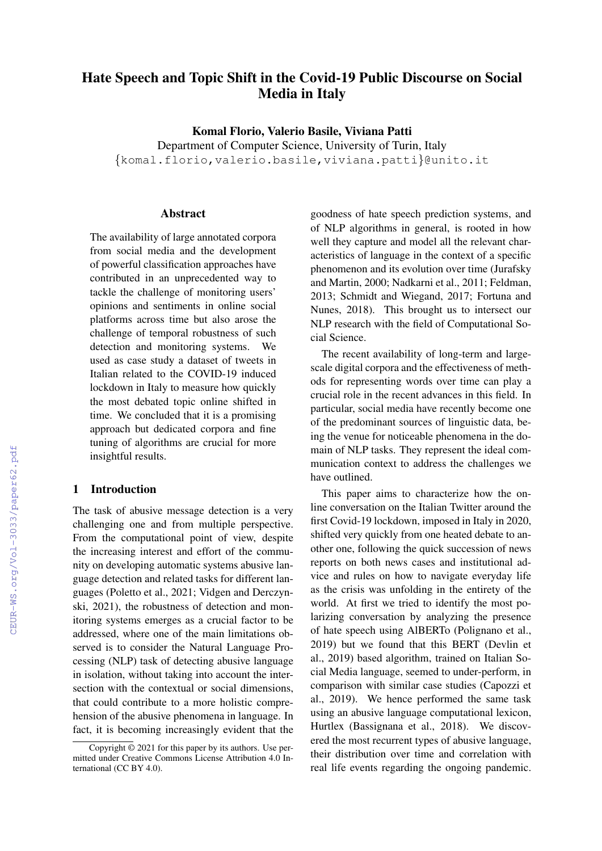# Hate Speech and Topic Shift in the Covid-19 Public Discourse on Social Media in Italy

Komal Florio, Valerio Basile, Viviana Patti

Department of Computer Science, University of Turin, Italy {komal.florio,valerio.basile,viviana.patti}@unito.it

#### **Abstract**

The availability of large annotated corpora from social media and the development of powerful classification approaches have contributed in an unprecedented way to tackle the challenge of monitoring users' opinions and sentiments in online social platforms across time but also arose the challenge of temporal robustness of such detection and monitoring systems. We used as case study a dataset of tweets in Italian related to the COVID-19 induced lockdown in Italy to measure how quickly the most debated topic online shifted in time. We concluded that it is a promising approach but dedicated corpora and fine tuning of algorithms are crucial for more insightful results.

#### 1 Introduction

The task of abusive message detection is a very challenging one and from multiple perspective. From the computational point of view, despite the increasing interest and effort of the community on developing automatic systems abusive language detection and related tasks for different languages (Poletto et al., 2021; Vidgen and Derczynski, 2021), the robustness of detection and monitoring systems emerges as a crucial factor to be addressed, where one of the main limitations observed is to consider the Natural Language Processing (NLP) task of detecting abusive language in isolation, without taking into account the intersection with the contextual or social dimensions, that could contribute to a more holistic comprehension of the abusive phenomena in language. In fact, it is becoming increasingly evident that the goodness of hate speech prediction systems, and of NLP algorithms in general, is rooted in how well they capture and model all the relevant characteristics of language in the context of a specific phenomenon and its evolution over time (Jurafsky and Martin, 2000; Nadkarni et al., 2011; Feldman, 2013; Schmidt and Wiegand, 2017; Fortuna and Nunes, 2018). This brought us to intersect our NLP research with the field of Computational Social Science.

The recent availability of long-term and largescale digital corpora and the effectiveness of methods for representing words over time can play a crucial role in the recent advances in this field. In particular, social media have recently become one of the predominant sources of linguistic data, being the venue for noticeable phenomena in the domain of NLP tasks. They represent the ideal communication context to address the challenges we have outlined.

This paper aims to characterize how the online conversation on the Italian Twitter around the first Covid-19 lockdown, imposed in Italy in 2020, shifted very quickly from one heated debate to another one, following the quick succession of news reports on both news cases and institutional advice and rules on how to navigate everyday life as the crisis was unfolding in the entirety of the world. At first we tried to identify the most polarizing conversation by analyzing the presence of hate speech using AlBERTo (Polignano et al., 2019) but we found that this BERT (Devlin et al., 2019) based algorithm, trained on Italian Social Media language, seemed to under-perform, in comparison with similar case studies (Capozzi et al., 2019). We hence performed the same task using an abusive language computational lexicon, Hurtlex (Bassignana et al., 2018). We discovered the most recurrent types of abusive language, their distribution over time and correlation with real life events regarding the ongoing pandemic.

Copyright © 2021 for this paper by its authors. Use permitted under Creative Commons License Attribution 4.0 International (CC BY 4.0).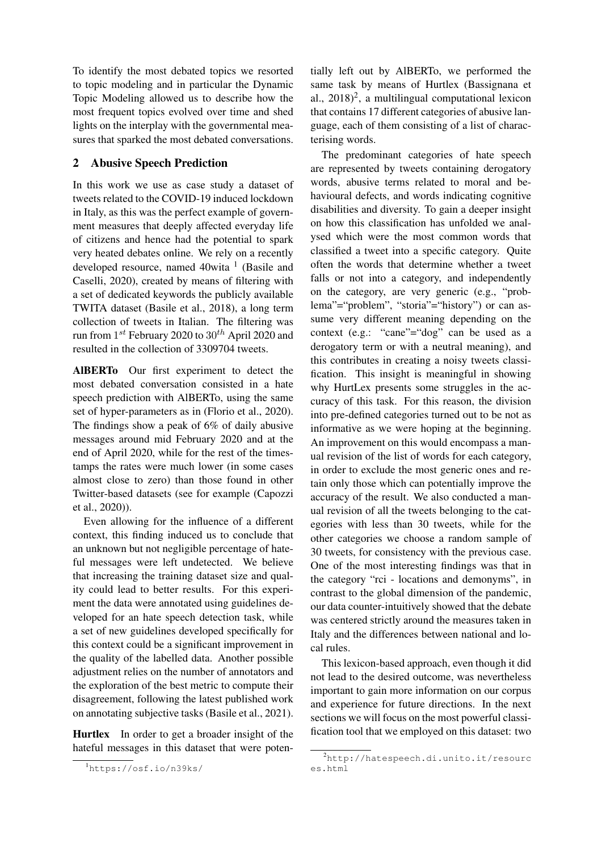To identify the most debated topics we resorted to topic modeling and in particular the Dynamic Topic Modeling allowed us to describe how the most frequent topics evolved over time and shed lights on the interplay with the governmental measures that sparked the most debated conversations.

## 2 Abusive Speech Prediction

In this work we use as case study a dataset of tweets related to the COVID-19 induced lockdown in Italy, as this was the perfect example of government measures that deeply affected everyday life of citizens and hence had the potential to spark very heated debates online. We rely on a recently developed resource, named 40wita <sup>1</sup> (Basile and Caselli, 2020), created by means of filtering with a set of dedicated keywords the publicly available TWITA dataset (Basile et al., 2018), a long term collection of tweets in Italian. The filtering was run from  $1^{st}$  February 2020 to  $30^{th}$  April 2020 and resulted in the collection of 3309704 tweets.

AlBERTo Our first experiment to detect the most debated conversation consisted in a hate speech prediction with AlBERTo, using the same set of hyper-parameters as in (Florio et al., 2020). The findings show a peak of 6% of daily abusive messages around mid February 2020 and at the end of April 2020, while for the rest of the timestamps the rates were much lower (in some cases almost close to zero) than those found in other Twitter-based datasets (see for example (Capozzi et al., 2020)).

Even allowing for the influence of a different context, this finding induced us to conclude that an unknown but not negligible percentage of hateful messages were left undetected. We believe that increasing the training dataset size and quality could lead to better results. For this experiment the data were annotated using guidelines developed for an hate speech detection task, while a set of new guidelines developed specifically for this context could be a significant improvement in the quality of the labelled data. Another possible adjustment relies on the number of annotators and the exploration of the best metric to compute their disagreement, following the latest published work on annotating subjective tasks (Basile et al., 2021).

Hurtlex In order to get a broader insight of the hateful messages in this dataset that were potentially left out by AlBERTo, we performed the same task by means of Hurtlex (Bassignana et al., 2018)<sup>2</sup>, a multilingual computational lexicon that contains 17 different categories of abusive language, each of them consisting of a list of characterising words.

The predominant categories of hate speech are represented by tweets containing derogatory words, abusive terms related to moral and behavioural defects, and words indicating cognitive disabilities and diversity. To gain a deeper insight on how this classification has unfolded we analysed which were the most common words that classified a tweet into a specific category. Quite often the words that determine whether a tweet falls or not into a category, and independently on the category, are very generic (e.g., "problema"="problem", "storia"="history") or can assume very different meaning depending on the context (e.g.: "cane"="dog" can be used as a derogatory term or with a neutral meaning), and this contributes in creating a noisy tweets classification. This insight is meaningful in showing why HurtLex presents some struggles in the accuracy of this task. For this reason, the division into pre-defined categories turned out to be not as informative as we were hoping at the beginning. An improvement on this would encompass a manual revision of the list of words for each category, in order to exclude the most generic ones and retain only those which can potentially improve the accuracy of the result. We also conducted a manual revision of all the tweets belonging to the categories with less than 30 tweets, while for the other categories we choose a random sample of 30 tweets, for consistency with the previous case. One of the most interesting findings was that in the category "rci - locations and demonyms", in contrast to the global dimension of the pandemic, our data counter-intuitively showed that the debate was centered strictly around the measures taken in Italy and the differences between national and local rules.

This lexicon-based approach, even though it did not lead to the desired outcome, was nevertheless important to gain more information on our corpus and experience for future directions. In the next sections we will focus on the most powerful classification tool that we employed on this dataset: two

<sup>1</sup>https://osf.io/n39ks/

 $^{2}$ http://hatespeech.di.unito.it/resourc es.html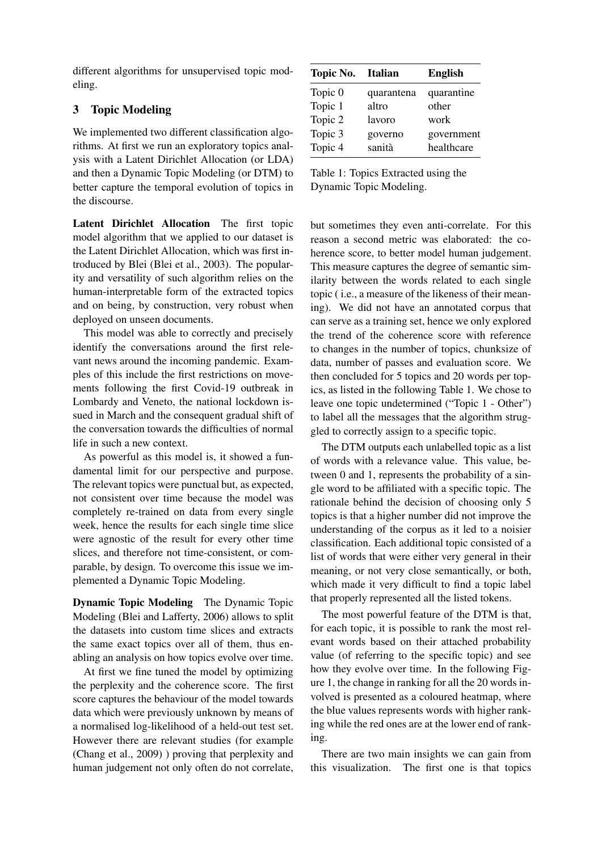different algorithms for unsupervised topic modeling.

## 3 Topic Modeling

We implemented two different classification algorithms. At first we run an exploratory topics analysis with a Latent Dirichlet Allocation (or LDA) and then a Dynamic Topic Modeling (or DTM) to better capture the temporal evolution of topics in the discourse.

Latent Dirichlet Allocation The first topic model algorithm that we applied to our dataset is the Latent Dirichlet Allocation, which was first introduced by Blei (Blei et al., 2003). The popularity and versatility of such algorithm relies on the human-interpretable form of the extracted topics and on being, by construction, very robust when deployed on unseen documents.

This model was able to correctly and precisely identify the conversations around the first relevant news around the incoming pandemic. Examples of this include the first restrictions on movements following the first Covid-19 outbreak in Lombardy and Veneto, the national lockdown issued in March and the consequent gradual shift of the conversation towards the difficulties of normal life in such a new context.

As powerful as this model is, it showed a fundamental limit for our perspective and purpose. The relevant topics were punctual but, as expected, not consistent over time because the model was completely re-trained on data from every single week, hence the results for each single time slice were agnostic of the result for every other time slices, and therefore not time-consistent, or comparable, by design. To overcome this issue we implemented a Dynamic Topic Modeling.

Dynamic Topic Modeling The Dynamic Topic Modeling (Blei and Lafferty, 2006) allows to split the datasets into custom time slices and extracts the same exact topics over all of them, thus enabling an analysis on how topics evolve over time.

At first we fine tuned the model by optimizing the perplexity and the coherence score. The first score captures the behaviour of the model towards data which were previously unknown by means of a normalised log-likelihood of a held-out test set. However there are relevant studies (for example (Chang et al., 2009) ) proving that perplexity and human judgement not only often do not correlate,

| Topic No. | Italian    | <b>English</b> |  |
|-----------|------------|----------------|--|
| Topic 0   | quarantena | quarantine     |  |
| Topic 1   | altro      | other          |  |
| Topic 2   | lavoro     | work           |  |
| Topic 3   | governo    | government     |  |
| Topic 4   | sanità     | healthcare     |  |

Table 1: Topics Extracted using the Dynamic Topic Modeling.

but sometimes they even anti-correlate. For this reason a second metric was elaborated: the coherence score, to better model human judgement. This measure captures the degree of semantic similarity between the words related to each single topic ( i.e., a measure of the likeness of their meaning). We did not have an annotated corpus that can serve as a training set, hence we only explored the trend of the coherence score with reference to changes in the number of topics, chunksize of data, number of passes and evaluation score. We then concluded for 5 topics and 20 words per topics, as listed in the following Table 1. We chose to leave one topic undetermined ("Topic 1 - Other") to label all the messages that the algorithm struggled to correctly assign to a specific topic.

The DTM outputs each unlabelled topic as a list of words with a relevance value. This value, between 0 and 1, represents the probability of a single word to be affiliated with a specific topic. The rationale behind the decision of choosing only 5 topics is that a higher number did not improve the understanding of the corpus as it led to a noisier classification. Each additional topic consisted of a list of words that were either very general in their meaning, or not very close semantically, or both, which made it very difficult to find a topic label that properly represented all the listed tokens.

The most powerful feature of the DTM is that, for each topic, it is possible to rank the most relevant words based on their attached probability value (of referring to the specific topic) and see how they evolve over time. In the following Figure 1, the change in ranking for all the 20 words involved is presented as a coloured heatmap, where the blue values represents words with higher ranking while the red ones are at the lower end of ranking.

There are two main insights we can gain from this visualization. The first one is that topics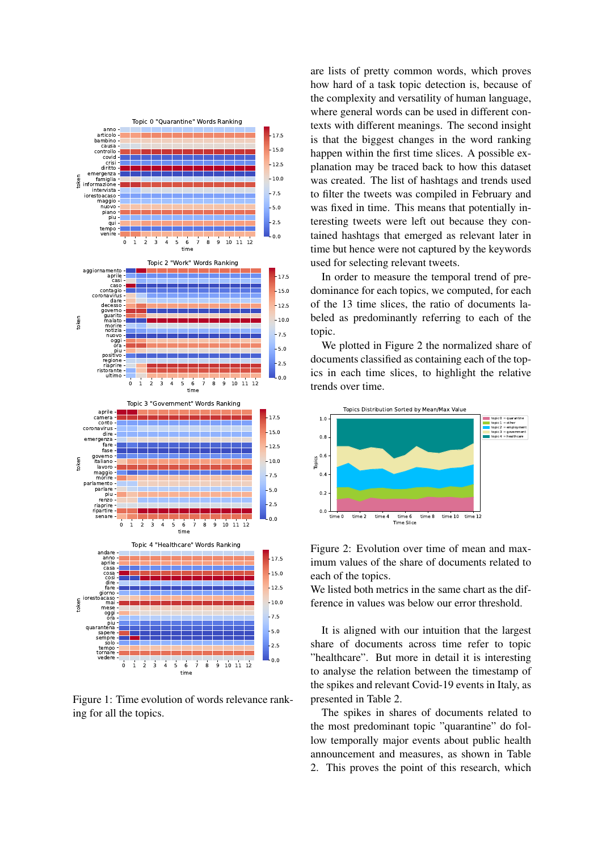

Figure 1: Time evolution of words relevance ranking for all the topics.

are lists of pretty common words, which proves how hard of a task topic detection is, because of the complexity and versatility of human language, where general words can be used in different contexts with different meanings. The second insight is that the biggest changes in the word ranking happen within the first time slices. A possible explanation may be traced back to how this dataset was created. The list of hashtags and trends used to filter the tweets was compiled in February and was fixed in time. This means that potentially interesting tweets were left out because they contained hashtags that emerged as relevant later in time but hence were not captured by the keywords used for selecting relevant tweets.

In order to measure the temporal trend of predominance for each topics, we computed, for each of the 13 time slices, the ratio of documents labeled as predominantly referring to each of the topic.

We plotted in Figure 2 the normalized share of documents classified as containing each of the topics in each time slices, to highlight the relative trends over time.



Figure 2: Evolution over time of mean and maximum values of the share of documents related to each of the topics.

We listed both metrics in the same chart as the difference in values was below our error threshold.

It is aligned with our intuition that the largest share of documents across time refer to topic "healthcare". But more in detail it is interesting to analyse the relation between the timestamp of the spikes and relevant Covid-19 events in Italy, as presented in Table 2.

The spikes in shares of documents related to the most predominant topic "quarantine" do follow temporally major events about public health announcement and measures, as shown in Table 2. This proves the point of this research, which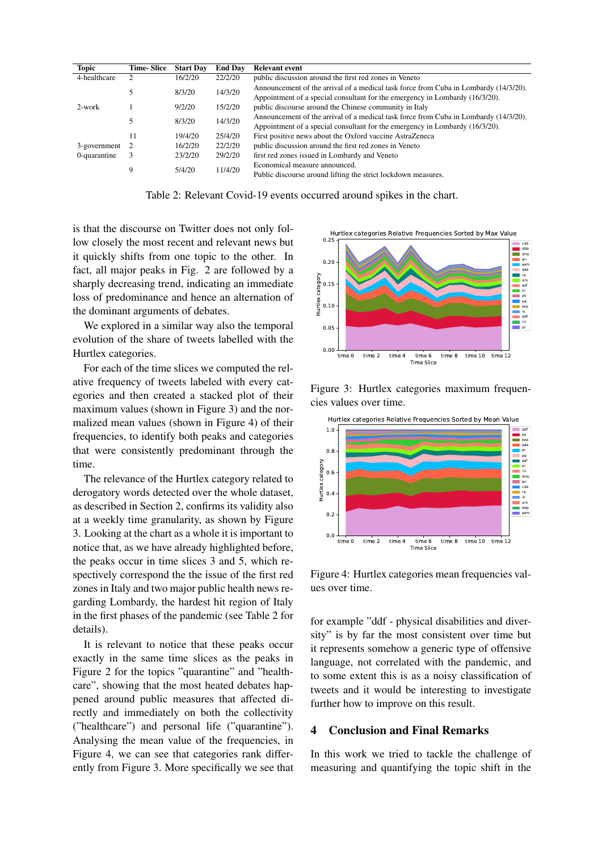| <b>Topic</b> | <b>Time-Slice</b> | <b>Start Day</b> | <b>End Day</b> | <b>Relevant event</b>                                                                          |
|--------------|-------------------|------------------|----------------|------------------------------------------------------------------------------------------------|
| 4-healthcare |                   | 16/2/20          | 22/2/20        | public discussion around the first red zones in Veneto                                         |
|              |                   | 8/3/20           | 14/3/20        | Announcement of the arrival of a medical task force from Cuba in Lombardy (14/3/20).           |
|              |                   |                  |                | Appointment of a special consultant for the emergency in Lombardy (16/3/20).                   |
| $2$ -work    |                   | 9/2/20           | 15/2/20        | public discourse around the Chinese community in Italy                                         |
|              |                   | 8/3/20           | 14/3/20        | Announcement of the arrival of a medical task force from Cuba in Lombardy (14/3/20).           |
|              |                   |                  |                | Appointment of a special consultant for the emergency in Lombardy (16/3/20).                   |
|              |                   | 19/4/20          | 25/4/20        | First positive news about the Oxford vaccine AstraZeneca                                       |
| 3-government | - 2               | 16/2/20          | 22/2/20        | public discussion around the first red zones in Veneto                                         |
| 0-quarantine | 3                 | 23/2/20          | 29/2/20        | first red zones issued in Lombardy and Veneto                                                  |
|              | 9                 | 5/4/20           | 11/4/20        | Economical measure announced.<br>Public discourse around lifting the strict lockdown measures. |

Table 2: Relevant Covid-19 events occurred around spikes in the chart.

is that the discourse on Twitter does not only follow closely the most recent and relevant news but it quickly shifts from one topic to the other. In fact, all major peaks in Fig. 2 are followed by a sharply decreasing trend, indicating an immediate loss of predominance and hence an alternation of the dominant arguments of debates.

We explored in a similar way also the temporal evolution of the share of tweets labelled with the Hurtlex categories.

For each of the time slices we computed the relative frequency of tweets labeled with every categories and then created a stacked plot of their maximum values (shown in Figure 3) and the normalized mean values (shown in Figure 4) of their frequencies, to identify both peaks and categories that were consistently predominant through the time.

The relevance of the Hurtlex category related to derogatory words detected over the whole dataset, as described in Section 2, confirms its validity also at a weekly time granularity, as shown by Figure 3. Looking at the chart as a whole it is important to notice that, as we have already highlighted before, the peaks occur in time slices 3 and 5, which respectively correspond the the issue of the first red zones in Italy and two major public health news regarding Lombardy, the hardest hit region of Italy in the first phases of the pandemic (see Table 2 for details).

It is relevant to notice that these peaks occur exactly in the same time slices as the peaks in Figure 2 for the topics "quarantine" and "healthcare", showing that the most heated debates happened around public measures that affected directly and immediately on both the collectivity ("healthcare") and personal life ("quarantine"). Analysing the mean value of the frequencies, in Figure 4, we can see that categories rank differently from Figure 3. More specifically we see that



Figure 3: Hurtlex categories maximum frequencies values over time.



Figure 4: Hurtlex categories mean frequencies values over time.

for example "ddf - physical disabilities and diversity" is by far the most consistent over time but it represents somehow a generic type of offensive language, not correlated with the pandemic, and to some extent this is as a noisy classification of tweets and it would be interesting to investigate further how to improve on this result.

## 4 Conclusion and Final Remarks

In this work we tried to tackle the challenge of measuring and quantifying the topic shift in the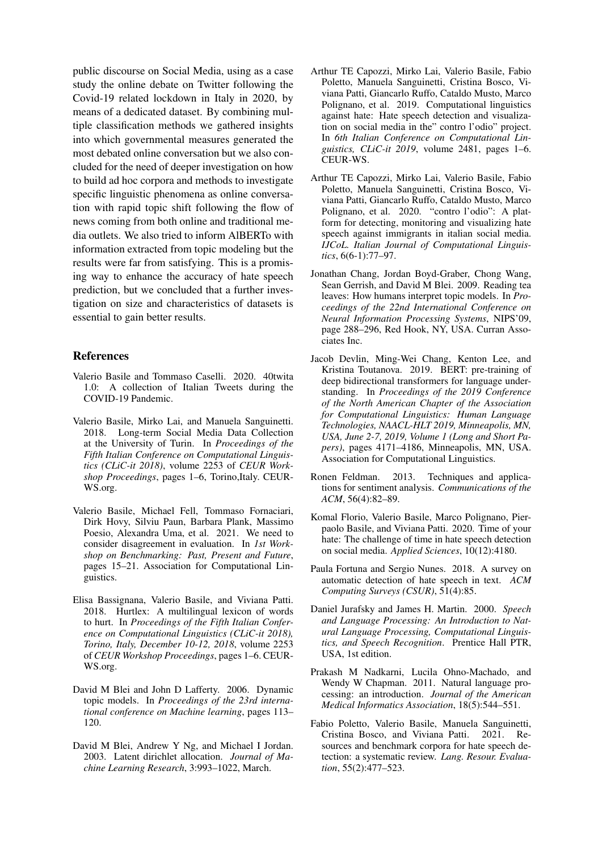public discourse on Social Media, using as a case study the online debate on Twitter following the Covid-19 related lockdown in Italy in 2020, by means of a dedicated dataset. By combining multiple classification methods we gathered insights into which governmental measures generated the most debated online conversation but we also concluded for the need of deeper investigation on how to build ad hoc corpora and methods to investigate specific linguistic phenomena as online conversation with rapid topic shift following the flow of news coming from both online and traditional media outlets. We also tried to inform AlBERTo with information extracted from topic modeling but the results were far from satisfying. This is a promising way to enhance the accuracy of hate speech prediction, but we concluded that a further investigation on size and characteristics of datasets is essential to gain better results.

#### References

- Valerio Basile and Tommaso Caselli. 2020. 40twita 1.0: A collection of Italian Tweets during the COVID-19 Pandemic.
- Valerio Basile, Mirko Lai, and Manuela Sanguinetti. 2018. Long-term Social Media Data Collection at the University of Turin. In *Proceedings of the Fifth Italian Conference on Computational Linguistics (CLiC-it 2018)*, volume 2253 of *CEUR Workshop Proceedings*, pages 1–6, Torino,Italy. CEUR-WS.org.
- Valerio Basile, Michael Fell, Tommaso Fornaciari, Dirk Hovy, Silviu Paun, Barbara Plank, Massimo Poesio, Alexandra Uma, et al. 2021. We need to consider disagreement in evaluation. In *1st Workshop on Benchmarking: Past, Present and Future*, pages 15–21. Association for Computational Linguistics.
- Elisa Bassignana, Valerio Basile, and Viviana Patti. 2018. Hurtlex: A multilingual lexicon of words to hurt. In *Proceedings of the Fifth Italian Conference on Computational Linguistics (CLiC-it 2018), Torino, Italy, December 10-12, 2018*, volume 2253 of *CEUR Workshop Proceedings*, pages 1–6. CEUR-WS.org.
- David M Blei and John D Lafferty. 2006. Dynamic topic models. In *Proceedings of the 23rd international conference on Machine learning*, pages 113– 120.
- David M Blei, Andrew Y Ng, and Michael I Jordan. 2003. Latent dirichlet allocation. *Journal of Machine Learning Research*, 3:993–1022, March.
- Arthur TE Capozzi, Mirko Lai, Valerio Basile, Fabio Poletto, Manuela Sanguinetti, Cristina Bosco, Viviana Patti, Giancarlo Ruffo, Cataldo Musto, Marco Polignano, et al. 2019. Computational linguistics against hate: Hate speech detection and visualization on social media in the" contro l'odio" project. In *6th Italian Conference on Computational Linguistics, CLiC-it 2019*, volume 2481, pages 1–6. CEUR-WS.
- Arthur TE Capozzi, Mirko Lai, Valerio Basile, Fabio Poletto, Manuela Sanguinetti, Cristina Bosco, Viviana Patti, Giancarlo Ruffo, Cataldo Musto, Marco Polignano, et al. 2020. "contro l'odio": A platform for detecting, monitoring and visualizing hate speech against immigrants in italian social media. *IJCoL. Italian Journal of Computational Linguistics*, 6(6-1):77–97.
- Jonathan Chang, Jordan Boyd-Graber, Chong Wang, Sean Gerrish, and David M Blei. 2009. Reading tea leaves: How humans interpret topic models. In *Proceedings of the 22nd International Conference on Neural Information Processing Systems*, NIPS'09, page 288–296, Red Hook, NY, USA. Curran Associates Inc.
- Jacob Devlin, Ming-Wei Chang, Kenton Lee, and Kristina Toutanova. 2019. BERT: pre-training of deep bidirectional transformers for language understanding. In *Proceedings of the 2019 Conference of the North American Chapter of the Association for Computational Linguistics: Human Language Technologies, NAACL-HLT 2019, Minneapolis, MN, USA, June 2-7, 2019, Volume 1 (Long and Short Papers)*, pages 4171–4186, Minneapolis, MN, USA. Association for Computational Linguistics.
- Ronen Feldman. 2013. Techniques and applications for sentiment analysis. *Communications of the ACM*, 56(4):82–89.
- Komal Florio, Valerio Basile, Marco Polignano, Pierpaolo Basile, and Viviana Patti. 2020. Time of your hate: The challenge of time in hate speech detection on social media. *Applied Sciences*, 10(12):4180.
- Paula Fortuna and Sergio Nunes. 2018. A survey on automatic detection of hate speech in text. *ACM Computing Surveys (CSUR)*, 51(4):85.
- Daniel Jurafsky and James H. Martin. 2000. *Speech and Language Processing: An Introduction to Natural Language Processing, Computational Linguistics, and Speech Recognition*. Prentice Hall PTR, USA, 1st edition.
- Prakash M Nadkarni, Lucila Ohno-Machado, and Wendy W Chapman. 2011. Natural language processing: an introduction. *Journal of the American Medical Informatics Association*, 18(5):544–551.
- Fabio Poletto, Valerio Basile, Manuela Sanguinetti, Cristina Bosco, and Viviana Patti. 2021. Resources and benchmark corpora for hate speech detection: a systematic review. *Lang. Resour. Evaluation*, 55(2):477–523.